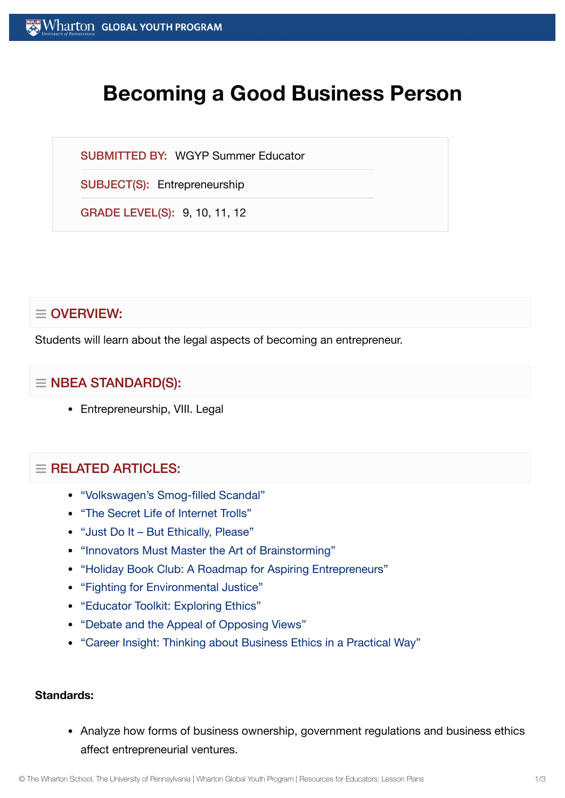# **Becoming a Good Business Person**

SUBMITTED BY: WGYP Summer Educator

SUBJECT(S): Entrepreneurship

GRADE LEVEL(S): 9, 10, 11, 12

# $\equiv$  OVERVIEW:

Students will learn about the legal aspects of becoming an entrepreneur.

# $\equiv$  NBEA STANDARD(S):

• Entrepreneurship, VIII. Legal

## $=$  RELATED ARTICLES:

- ["Volkswagen's Smog-filled](https://globalyouth.wharton.upenn.edu/articles/volkswagen-scandal/) Scandal"
- "The Secret Life of [Internet](https://globalyouth.wharton.upenn.edu/articles/entered-no-troll-zone/) Trolls"
- "Just Do It But [Ethically,](https://globalyouth.wharton.upenn.edu/articles/just-do-it-%e2%80%93-but-ethically-please/) Please"
- ["Innovators Must](https://globalyouth.wharton.upenn.edu/articles/innovators-must-master-the-art-of-brainstorming/) Master the Art of Brainstorming"
- "Holiday Book Club: A Roadmap for Aspiring [Entrepreneurs"](https://globalyouth.wharton.upenn.edu/articles/holiday-book-club-roadmap-aspiring-entrepreneurs/)
- "Fighting for [Environmental](https://globalyouth.wharton.upenn.edu/articles/fighting-for-environmental-justice/) Justice"
- ["Educator](https://globalyouth.wharton.upenn.edu/articles/educator-toolkit-exploring-ethics/) Toolkit: Exploring Ethics"
- "Debate and the Appeal of [Opposing](https://globalyouth.wharton.upenn.edu/articles/debate-appeal-opposing-views/) Views"
- "Career Insight: Thinking about [Business Ethics in](https://globalyouth.wharton.upenn.edu/articles/career-insight-thinking-business-ethics-practical-way/) a Practical Way"

#### **Standards:**

• Analyze how forms of business ownership, government regulations and business ethics affect entrepreneurial ventures.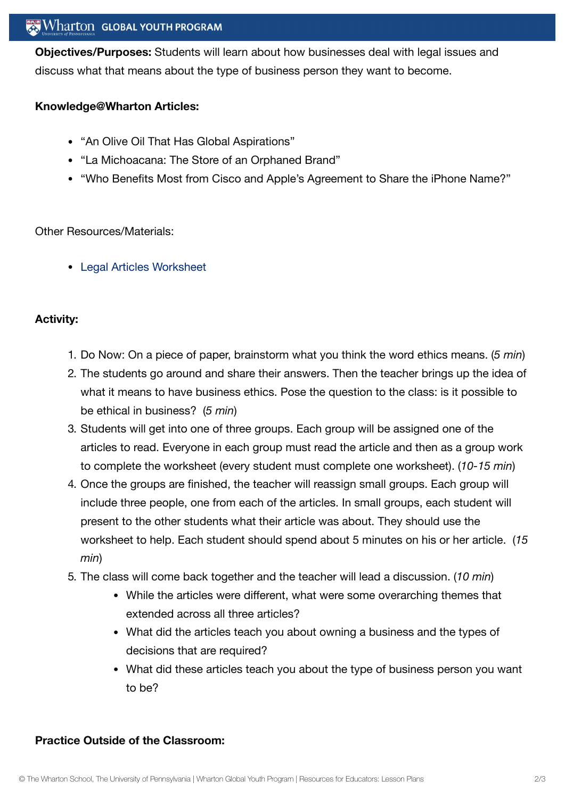## $\mathbb{R}$  Wharton Global Youth Program

**Objectives/Purposes:** Students will learn about how businesses deal with legal issues and discuss what that means about the type of business person they want to become.

#### **Knowledge@Wharton Articles:**

- "An Olive Oil That Has Global Aspirations"
- "La Michoacana: The Store of an Orphaned Brand"
- "Who Benefits Most from Cisco and Apple's Agreement to Share the iPhone Name?"

Other Resources/Materials:

Legal [Articles Worksheet](https://globalyouth.wharton.upenn.edu/wp-content/uploads/2012/02/Entrepreneurship24_wrksht-1.doc)

#### **Activity:**

- 1. Do Now: On a piece of paper, brainstorm what you think the word ethics means. (*5 min*)
- 2. The students go around and share their answers. Then the teacher brings up the idea of what it means to have business ethics. Pose the question to the class: is it possible to be ethical in business? (*5 min*)
- 3. Students will get into one of three groups. Each group will be assigned one of the articles to read. Everyone in each group must read the article and then as a group work to complete the worksheet (every student must complete one worksheet). (*10-15 min*)
- 4. Once the groups are finished, the teacher will reassign small groups. Each group will include three people, one from each of the articles. In small groups, each student will present to the other students what their article was about. They should use the worksheet to help. Each student should spend about 5 minutes on his or her article. (*15 min*)
- 5. The class will come back together and the teacher will lead a discussion. (*10 min*)
	- While the articles were different, what were some overarching themes that extended across all three articles?
	- What did the articles teach you about owning a business and the types of decisions that are required?
	- What did these articles teach you about the type of business person you want to be?

#### **Practice Outside of the Classroom:**